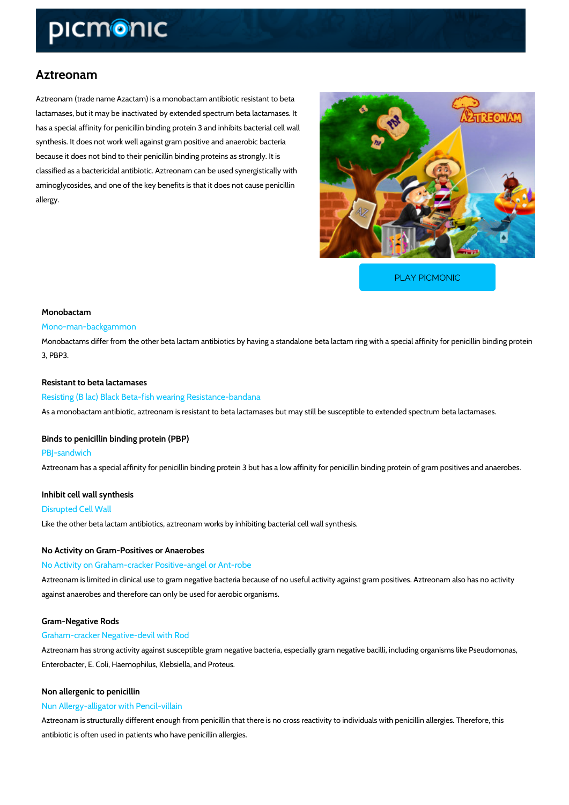## Aztreonam

Aztreonam (trade name Azactam) is a monobactam antibiotic resistant to beta lactamases, but it may be inactivated by extended spectrum beta lactamases. It has a special affinity for penicillin binding protein 3 and inhibits bacterial cell wall synthesis. It does not work well against gram positive and anaerobic bacteria because it does not bind to their penicillin binding proteins as strongly. It is classified as a bactericidal antibiotic. Aztreonam can be used synergistically with aminoglycosides, and one of the key benefits is that it does not cause penicillin allergy.

[PLAY PICMONIC](https://www.picmonic.com/learn/aztreonam_349?utm_source=downloadable_content&utm_medium=distributedcontent&utm_campaign=pathways_pdf&utm_content=Aztreonam&utm_ad_group=leads&utm_market=all)

# Monobactam Mono-man-backgammon

Monobactams differ from the other beta lactam antibiotics by having a standalone beta lactam 3, PBP3.

Resistant to beta lactamases Resisting (B lac) Black Beta-fish wearing Resistance-bandana As a monobactam antibiotic, aztreonam is resistant to beta lactamases but may still be susceptible to extended spectrum beta lactamases.

## Binds to penicillin binding protein (PBP) PBJ-sandwich

Aztreonam has a special affinity for penicillin binding protein 3 but has a low affinity for peni

Inhibit cell wall synthesis Disrupted Cell Wall

Like the other beta lactam antibiotics, aztreonam works by inhibiting bacterial cell wall synth

No Activity on Gram-Positives or Anaerobes No Activity on Graham-cracker Positive-angel or Ant-robe Aztreonam is limited in clinical use to gram negative bacteria because of no useful activity ag against anaerobes and therefore can only be used for aerobic organisms.

Gram-Negative Rods

#### Graham-cracker Negative-devil with Rod

Aztreonam has strong activity against susceptible gram negative bacteria, especially gram ne Enterobacter, E. Coli, Haemophilus, Klebsiella, and Proteus.

Non allergenic to penicillin

#### Nun Allergy-alligator with Pencil-villain

Aztreonam is structurally different enough from penicillin that there is no cross reactivity to i antibiotic is often used in patients who have penicillin allergies.